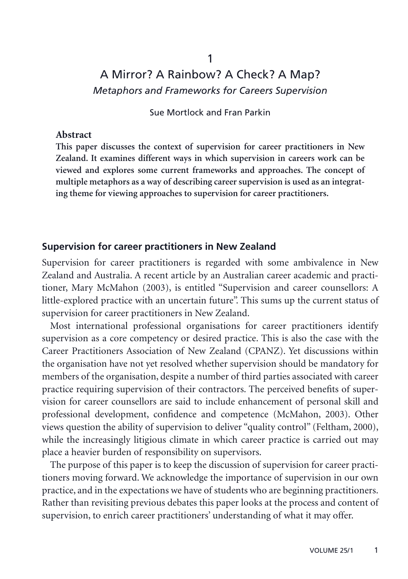# A Mirror? A Rainbow? A Check? A Map? *Metaphors and Frameworks for Careers Supervision*

Sue Mortlock and Fran Parkin

#### **Abstract**

**This paper discusses the context of supervision for career practitioners in New Zealand. It examines different ways in which supervision in careers work can be viewed and explores some current frameworks and approaches. The concept of multiple metaphors as a way of describing career supervision is used as an integrating theme for viewing approaches to supervision for career practitioners.**

#### **Supervision for career practitioners in New Zealand**

Supervision for career practitioners is regarded with some ambivalence in New Zealand and Australia. A recent article by an Australian career academic and practitioner, Mary McMahon (2003), is entitled "Supervision and career counsellors: A little-explored practice with an uncertain future". This sums up the current status of supervision for career practitioners in New Zealand.

Most international professional organisations for career practitioners identify supervision as a core competency or desired practice. This is also the case with the Career Practitioners Association of New Zealand (CPANZ). Yet discussions within the organisation have not yet resolved whether supervision should be mandatory for members of the organisation, despite a number of third parties associated with career practice requiring supervision of their contractors. The perceived benefits of supervision for career counsellors are said to include enhancement of personal skill and professional development, confidence and competence (McMahon, 2003). Other views question the ability of supervision to deliver "quality control" (Feltham, 2000), while the increasingly litigious climate in which career practice is carried out may place a heavier burden of responsibility on supervisors.

The purpose of this paper is to keep the discussion of supervision for career practitioners moving forward. We acknowledge the importance of supervision in our own practice, and in the expectations we have of students who are beginning practitioners. Rather than revisiting previous debates this paper looks at the process and content of supervision, to enrich career practitioners' understanding of what it may offer.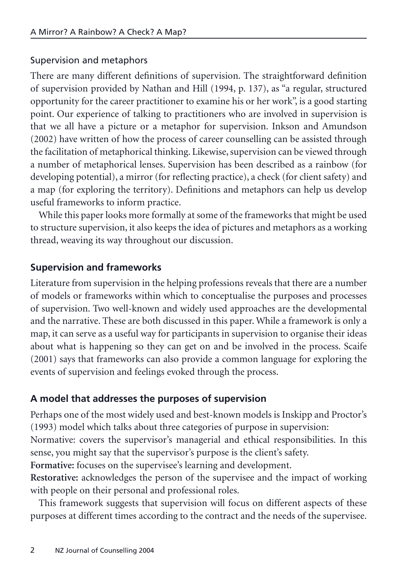## Supervision and metaphors

There are many different definitions of supervision. The straightforward definition of supervision provided by Nathan and Hill (1994, p. 137), as "a regular, structured opportunity for the career practitioner to examine his or her work", is a good starting point. Our experience of talking to practitioners who are involved in supervision is that we all have a picture or a metaphor for supervision. Inkson and Amundson (2002) have written of how the process of career counselling can be assisted through the facilitation of metaphorical thinking. Likewise, supervision can be viewed through a number of metaphorical lenses. Supervision has been described as a rainbow (for developing potential), a mirror (for reflecting practice), a check (for client safety) and a map (for exploring the territory). Definitions and metaphors can help us develop useful frameworks to inform practice.

While this paper looks more formally at some of the frameworks that might be used to structure supervision, it also keeps the idea of pictures and metaphors as a working thread, weaving its way throughout our discussion.

## **Supervision and frameworks**

Literature from supervision in the helping professions reveals that there are a number of models or frameworks within which to conceptualise the purposes and processes of supervision. Two well-known and widely used approaches are the developmental and the narrative. These are both discussed in this paper. While a framework is only a map, it can serve as a useful way for participants in supervision to organise their ideas about what is happening so they can get on and be involved in the process. Scaife (2001) says that frameworks can also provide a common language for exploring the events of supervision and feelings evoked through the process.

## **A model that addresses the purposes of supervision**

Perhaps one of the most widely used and best-known models is Inskipp and Proctor's (1993) model which talks about three categories of purpose in supervision: Normative: covers the supervisor's managerial and ethical responsibilities. In this

sense, you might say that the supervisor's purpose is the client's safety.

**Formative:** focuses on the supervisee's learning and development.

**Restorative:** acknowledges the person of the supervisee and the impact of working with people on their personal and professional roles.

This framework suggests that supervision will focus on different aspects of these purposes at different times according to the contract and the needs of the supervisee.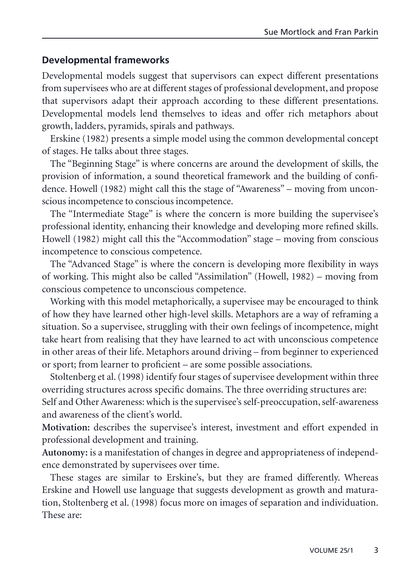## **Developmental frameworks**

Developmental models suggest that supervisors can expect different presentations from supervisees who are at different stages of professional development, and propose that supervisors adapt their approach according to these different presentations. Developmental models lend themselves to ideas and offer rich metaphors about growth, ladders, pyramids, spirals and pathways.

Erskine (1982) presents a simple model using the common developmental concept of stages. He talks about three stages.

The "Beginning Stage" is where concerns are around the development of skills, the provision of information, a sound theoretical framework and the building of confidence. Howell (1982) might call this the stage of "Awareness" – moving from unconscious incompetence to conscious incompetence.

The "Intermediate Stage" is where the concern is more building the supervisee's professional identity, enhancing their knowledge and developing more refined skills. Howell (1982) might call this the "Accommodation" stage – moving from conscious incompetence to conscious competence.

The "Advanced Stage" is where the concern is developing more flexibility in ways of working. This might also be called "Assimilation" (Howell, 1982) – moving from conscious competence to unconscious competence.

Working with this model metaphorically, a supervisee may be encouraged to think of how they have learned other high-level skills. Metaphors are a way of reframing a situation. So a supervisee, struggling with their own feelings of incompetence, might take heart from realising that they have learned to act with unconscious competence in other areas of their life. Metaphors around driving – from beginner to experienced or sport; from learner to proficient – are some possible associations.

Stoltenberg et al. (1998) identify four stages of supervisee development within three overriding structures across specific domains. The three overriding structures are: Self and Other Awareness: which is the supervisee's self-preoccupation, self-awareness

and awareness of the client's world.

**Motivation:** describes the supervisee's interest, investment and effort expended in professional development and training.

**Autonomy:** is a manifestation of changes in degree and appropriateness of independence demonstrated by supervisees over time.

These stages are similar to Erskine's, but they are framed differently. Whereas Erskine and Howell use language that suggests development as growth and maturation, Stoltenberg et al. (1998) focus more on images of separation and individuation. These are: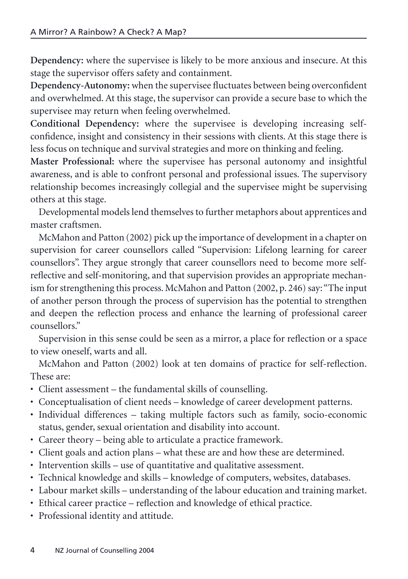**Dependency:** where the supervisee is likely to be more anxious and insecure. At this stage the supervisor offers safety and containment.

**Dependency-Autonomy:** when the supervisee fluctuates between being overconfident and overwhelmed. At this stage, the supervisor can provide a secure base to which the supervisee may return when feeling overwhelmed.

**Conditional Dependency:** where the supervisee is developing increasing selfconfidence, insight and consistency in their sessions with clients. At this stage there is less focus on technique and survival strategies and more on thinking and feeling.

**Master Professional:** where the supervisee has personal autonomy and insightful awareness, and is able to confront personal and professional issues. The supervisory relationship becomes increasingly collegial and the supervisee might be supervising others at this stage.

Developmental models lend themselves to further metaphors about apprentices and master craftsmen.

McMahon and Patton (2002) pick up the importance of development in a chapter on supervision for career counsellors called "Supervision: Lifelong learning for career counsellors". They argue strongly that career counsellors need to become more selfreflective and self-monitoring, and that supervision provides an appropriate mechanism for strengthening this process. McMahon and Patton (2002, p. 246) say:"The input of another person through the process of supervision has the potential to strengthen and deepen the reflection process and enhance the learning of professional career counsellors."

Supervision in this sense could be seen as a mirror, a place for reflection or a space to view oneself, warts and all.

McMahon and Patton (2002) look at ten domains of practice for self-reflection. These are:

- Client assessment the fundamental skills of counselling.
- Conceptualisation of client needs knowledge of career development patterns.
- Individual differences taking multiple factors such as family, socio-economic status, gender, sexual orientation and disability into account.
- Career theory being able to articulate a practice framework.
- Client goals and action plans what these are and how these are determined.
- Intervention skills use of quantitative and qualitative assessment.
- Technical knowledge and skills knowledge of computers, websites, databases.
- Labour market skills understanding of the labour education and training market.
- Ethical career practice reflection and knowledge of ethical practice.
- Professional identity and attitude.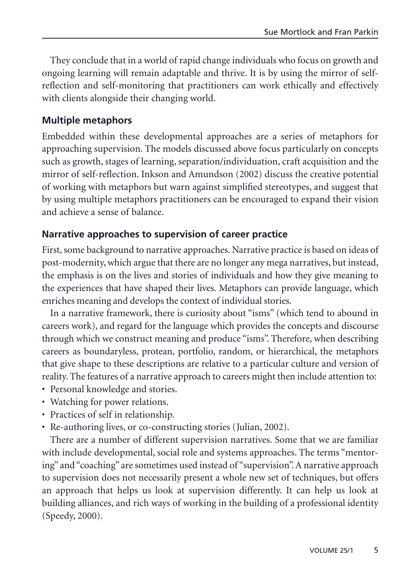They conclude that in a world of rapid change individuals who focus on growth and ongoing learning will remain adaptable and thrive. It is by using the mirror of selfreflection and self-monitoring that practitioners can work ethically and effectively with clients alongside their changing world.

## **Multiple metaphors**

Embedded within these developmental approaches are a series of metaphors for approaching supervision. The models discussed above focus particularly on concepts such as growth, stages of learning, separation/individuation, craft acquisition and the mirror of self-reflection. Inkson and Amundson (2002) discuss the creative potential of working with metaphors but warn against simplified stereotypes, and suggest that by using multiple metaphors practitioners can be encouraged to expand their vision and achieve a sense of balance.

#### **Narrative approaches to supervision of career practice**

First, some background to narrative approaches. Narrative practice is based on ideas of post-modernity, which argue that there are no longer any mega narratives, but instead, the emphasis is on the lives and stories of individuals and how they give meaning to the experiences that have shaped their lives. Metaphors can provide language, which enriches meaning and develops the context of individual stories.

In a narrative framework, there is curiosity about "isms" (which tend to abound in careers work), and regard for the language which provides the concepts and discourse through which we construct meaning and produce "isms". Therefore, when describing careers as boundaryless, protean, portfolio, random, or hierarchical, the metaphors that give shape to these descriptions are relative to a particular culture and version of reality. The features of a narrative approach to careers might then include attention to:

- Personal knowledge and stories.
- Watching for power relations.
- Practices of self in relationship.
- Re-authoring lives, or co-constructing stories (Julian, 2002).

There are a number of different supervision narratives. Some that we are familiar with include developmental, social role and systems approaches. The terms "mentoring" and "coaching" are sometimes used instead of "supervision". A narrative approach to supervision does not necessarily present a whole new set of techniques, but offers an approach that helps us look at supervision differently. It can help us look at building alliances, and rich ways of working in the building of a professional identity (Speedy, 2000).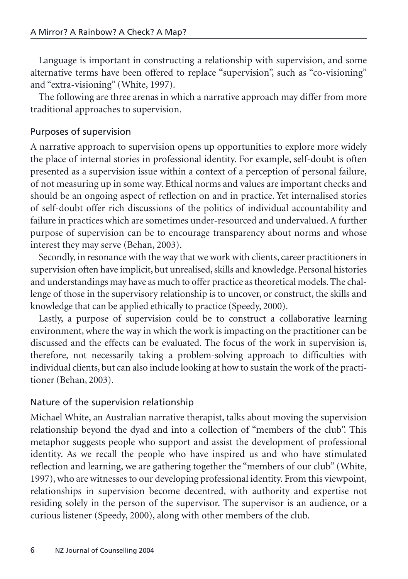Language is important in constructing a relationship with supervision, and some alternative terms have been offered to replace "supervision", such as "co-visioning" and "extra-visioning" (White, 1997).

The following are three arenas in which a narrative approach may differ from more traditional approaches to supervision.

#### Purposes of supervision

A narrative approach to supervision opens up opportunities to explore more widely the place of internal stories in professional identity. For example, self-doubt is often presented as a supervision issue within a context of a perception of personal failure, of not measuring up in some way. Ethical norms and values are important checks and should be an ongoing aspect of reflection on and in practice. Yet internalised stories of self-doubt offer rich discussions of the politics of individual accountability and failure in practices which are sometimes under-resourced and undervalued. A further purpose of supervision can be to encourage transparency about norms and whose interest they may serve (Behan, 2003).

Secondly, in resonance with the way that we work with clients, career practitioners in supervision often have implicit, but unrealised, skills and knowledge. Personal histories and understandings may have as much to offer practice as theoretical models. The challenge of those in the supervisory relationship is to uncover, or construct, the skills and knowledge that can be applied ethically to practice (Speedy, 2000).

Lastly, a purpose of supervision could be to construct a collaborative learning environment, where the way in which the work is impacting on the practitioner can be discussed and the effects can be evaluated. The focus of the work in supervision is, therefore, not necessarily taking a problem-solving approach to difficulties with individual clients, but can also include looking at how to sustain the work of the practitioner (Behan, 2003).

## Nature of the supervision relationship

Michael White, an Australian narrative therapist, talks about moving the supervision relationship beyond the dyad and into a collection of "members of the club". This metaphor suggests people who support and assist the development of professional identity. As we recall the people who have inspired us and who have stimulated reflection and learning, we are gathering together the "members of our club" (White, 1997), who are witnesses to our developing professional identity. From this viewpoint, relationships in supervision become decentred, with authority and expertise not residing solely in the person of the supervisor. The supervisor is an audience, or a curious listener (Speedy, 2000), along with other members of the club.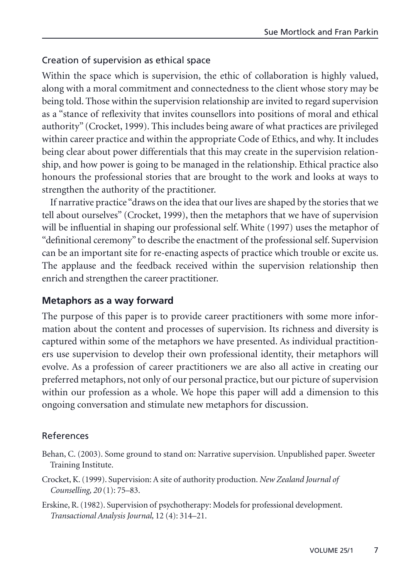#### Creation of supervision as ethical space

Within the space which is supervision, the ethic of collaboration is highly valued, along with a moral commitment and connectedness to the client whose story may be being told. Those within the supervision relationship are invited to regard supervision as a "stance of reflexivity that invites counsellors into positions of moral and ethical authority" (Crocket, 1999). This includes being aware of what practices are privileged within career practice and within the appropriate Code of Ethics, and why. It includes being clear about power differentials that this may create in the supervision relationship, and how power is going to be managed in the relationship. Ethical practice also honours the professional stories that are brought to the work and looks at ways to strengthen the authority of the practitioner.

If narrative practice "draws on the idea that our lives are shaped by the stories that we tell about ourselves" (Crocket, 1999), then the metaphors that we have of supervision will be influential in shaping our professional self. White (1997) uses the metaphor of "definitional ceremony" to describe the enactment of the professional self. Supervision can be an important site for re-enacting aspects of practice which trouble or excite us. The applause and the feedback received within the supervision relationship then enrich and strengthen the career practitioner.

#### **Metaphors as a way forward**

The purpose of this paper is to provide career practitioners with some more information about the content and processes of supervision. Its richness and diversity is captured within some of the metaphors we have presented. As individual practitioners use supervision to develop their own professional identity, their metaphors will evolve. As a profession of career practitioners we are also all active in creating our preferred metaphors, not only of our personal practice, but our picture of supervision within our profession as a whole. We hope this paper will add a dimension to this ongoing conversation and stimulate new metaphors for discussion.

#### References

- Behan, C. (2003). Some ground to stand on: Narrative supervision. Unpublished paper. Sweeter Training Institute.
- Crocket, K. (1999). Supervision: A site of authority production. *New Zealand Journal of Counselling, 20* (1): 75–83.
- Erskine, R. (1982). Supervision of psychotherapy: Models for professional development. *Transactional Analysis Journal,* 12 (4): 314–21.